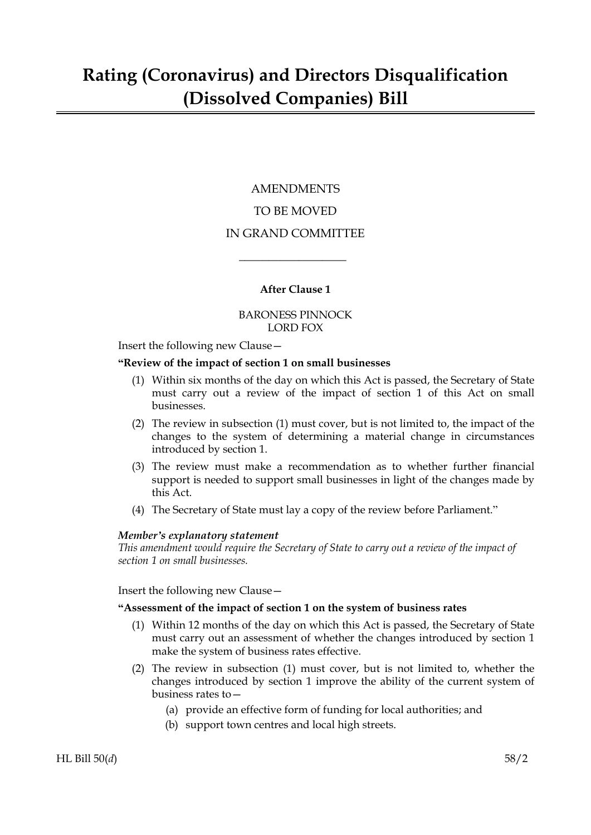### AMENDMENTS TO BE MOVED IN GRAND COMMITTEE

#### **After Clause 1**

 $\overline{\phantom{a}}$  , where  $\overline{\phantom{a}}$ 

#### BARONESS PINNOCK LORD FOX

Insert the following new Clause—

#### **"Review of the impact of section 1 on small businesses**

- (1) Within six months of the day on which this Act is passed, the Secretary of State must carry out a review of the impact of section 1 of this Act on small businesses.
- (2) The review in subsection (1) must cover, but is not limited to, the impact of the changes to the system of determining a material change in circumstances introduced by section 1.
- (3) The review must make a recommendation as to whether further financial support is needed to support small businesses in light of the changes made by this Act.
- (4) The Secretary of State must lay a copy of the review before Parliament."

#### *Member's explanatory statement*

*This amendment would require the Secretary of State to carry out a review of the impact of section 1 on small businesses.*

Insert the following new Clause—

#### **"Assessment of the impact of section 1 on the system of business rates**

- (1) Within 12 months of the day on which this Act is passed, the Secretary of State must carry out an assessment of whether the changes introduced by section 1 make the system of business rates effective.
- (2) The review in subsection (1) must cover, but is not limited to, whether the changes introduced by section 1 improve the ability of the current system of business rates to—
	- (a) provide an effective form of funding for local authorities; and
	- (b) support town centres and local high streets.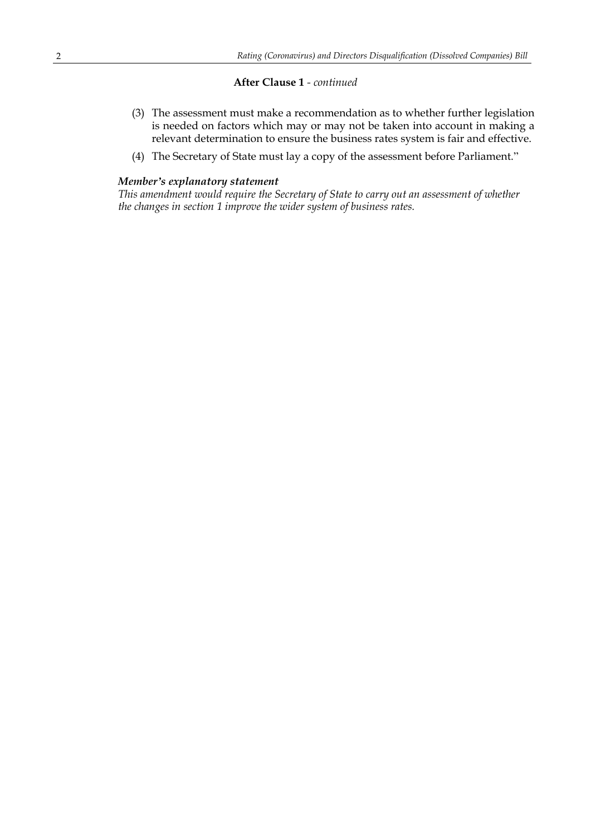#### **After Clause 1** *- continued*

- (3) The assessment must make a recommendation as to whether further legislation is needed on factors which may or may not be taken into account in making a relevant determination to ensure the business rates system is fair and effective.
- (4) The Secretary of State must lay a copy of the assessment before Parliament."

#### *Member's explanatory statement*

*This amendment would require the Secretary of State to carry out an assessment of whether the changes in section 1 improve the wider system of business rates.*